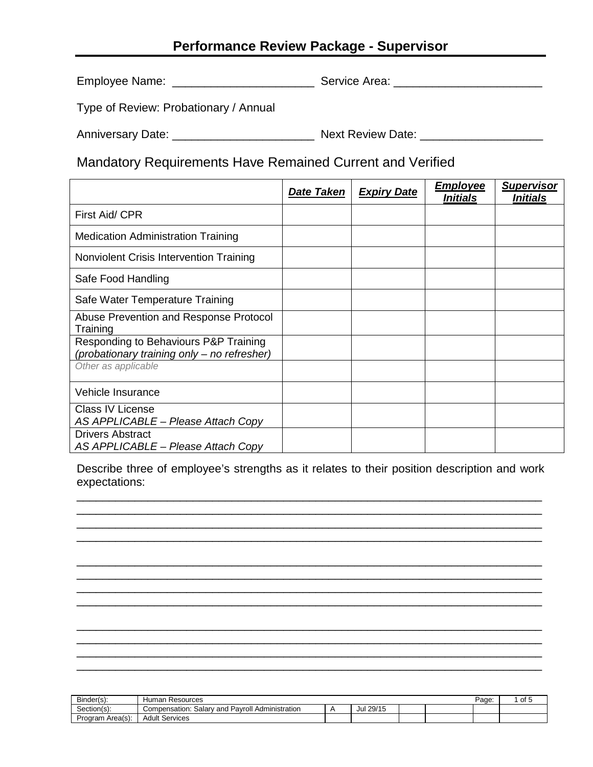## **Performance Review Package - Supervisor**

Employee Name: \_\_\_\_\_\_\_\_\_\_\_\_\_\_\_\_\_\_\_\_\_\_ Service Area: \_\_\_\_\_\_\_\_\_\_\_\_\_\_\_\_\_\_\_\_\_\_\_

Type of Review: Probationary / Annual

Anniversary Date: \_\_\_\_\_\_\_\_\_\_\_\_\_\_\_\_\_\_\_\_\_\_ Next Review Date: \_\_\_\_\_\_\_\_\_\_\_\_\_\_\_\_\_\_\_

Mandatory Requirements Have Remained Current and Verified

|                                                                                      | <b>Date Taken</b> | <b>Expiry Date</b> | <b>Employee</b><br><i><b>Initials</b></i> | <b>Supervisor</b><br><i><b>Initials</b></i> |
|--------------------------------------------------------------------------------------|-------------------|--------------------|-------------------------------------------|---------------------------------------------|
| First Aid/ CPR                                                                       |                   |                    |                                           |                                             |
| <b>Medication Administration Training</b>                                            |                   |                    |                                           |                                             |
| Nonviolent Crisis Intervention Training                                              |                   |                    |                                           |                                             |
| Safe Food Handling                                                                   |                   |                    |                                           |                                             |
| Safe Water Temperature Training                                                      |                   |                    |                                           |                                             |
| Abuse Prevention and Response Protocol<br>Training                                   |                   |                    |                                           |                                             |
| Responding to Behaviours P&P Training<br>(probationary training only - no refresher) |                   |                    |                                           |                                             |
| Other as applicable                                                                  |                   |                    |                                           |                                             |
| Vehicle Insurance                                                                    |                   |                    |                                           |                                             |
| <b>Class IV License</b><br>AS APPLICABLE - Please Attach Copy                        |                   |                    |                                           |                                             |
| <b>Drivers Abstract</b><br>AS APPLICABLE - Please Attach Copy                        |                   |                    |                                           |                                             |

Describe three of employee's strengths as it relates to their position description and work expectations:

\_\_\_\_\_\_\_\_\_\_\_\_\_\_\_\_\_\_\_\_\_\_\_\_\_\_\_\_\_\_\_\_\_\_\_\_\_\_\_\_\_\_\_\_\_\_\_\_\_\_\_\_\_\_\_\_\_\_\_\_\_\_\_\_\_\_\_\_\_\_\_\_ \_\_\_\_\_\_\_\_\_\_\_\_\_\_\_\_\_\_\_\_\_\_\_\_\_\_\_\_\_\_\_\_\_\_\_\_\_\_\_\_\_\_\_\_\_\_\_\_\_\_\_\_\_\_\_\_\_\_\_\_\_\_\_\_\_\_\_\_\_\_\_\_ \_\_\_\_\_\_\_\_\_\_\_\_\_\_\_\_\_\_\_\_\_\_\_\_\_\_\_\_\_\_\_\_\_\_\_\_\_\_\_\_\_\_\_\_\_\_\_\_\_\_\_\_\_\_\_\_\_\_\_\_\_\_\_\_\_\_\_\_\_\_\_\_ \_\_\_\_\_\_\_\_\_\_\_\_\_\_\_\_\_\_\_\_\_\_\_\_\_\_\_\_\_\_\_\_\_\_\_\_\_\_\_\_\_\_\_\_\_\_\_\_\_\_\_\_\_\_\_\_\_\_\_\_\_\_\_\_\_\_\_\_\_\_\_\_

\_\_\_\_\_\_\_\_\_\_\_\_\_\_\_\_\_\_\_\_\_\_\_\_\_\_\_\_\_\_\_\_\_\_\_\_\_\_\_\_\_\_\_\_\_\_\_\_\_\_\_\_\_\_\_\_\_\_\_\_\_\_\_\_\_\_\_\_\_\_\_\_ \_\_\_\_\_\_\_\_\_\_\_\_\_\_\_\_\_\_\_\_\_\_\_\_\_\_\_\_\_\_\_\_\_\_\_\_\_\_\_\_\_\_\_\_\_\_\_\_\_\_\_\_\_\_\_\_\_\_\_\_\_\_\_\_\_\_\_\_\_\_\_\_ \_\_\_\_\_\_\_\_\_\_\_\_\_\_\_\_\_\_\_\_\_\_\_\_\_\_\_\_\_\_\_\_\_\_\_\_\_\_\_\_\_\_\_\_\_\_\_\_\_\_\_\_\_\_\_\_\_\_\_\_\_\_\_\_\_\_\_\_\_\_\_\_ \_\_\_\_\_\_\_\_\_\_\_\_\_\_\_\_\_\_\_\_\_\_\_\_\_\_\_\_\_\_\_\_\_\_\_\_\_\_\_\_\_\_\_\_\_\_\_\_\_\_\_\_\_\_\_\_\_\_\_\_\_\_\_\_\_\_\_\_\_\_\_\_

\_\_\_\_\_\_\_\_\_\_\_\_\_\_\_\_\_\_\_\_\_\_\_\_\_\_\_\_\_\_\_\_\_\_\_\_\_\_\_\_\_\_\_\_\_\_\_\_\_\_\_\_\_\_\_\_\_\_\_\_\_\_\_\_\_\_\_\_\_\_\_\_

\_\_\_\_\_\_\_\_\_\_\_\_\_\_\_\_\_\_\_\_\_\_\_\_\_\_\_\_\_\_\_\_\_\_\_\_\_\_\_\_\_\_\_\_\_\_\_\_\_\_\_\_\_\_\_\_\_\_\_\_\_\_\_\_\_\_\_\_\_\_\_\_

| Binder(s):          | Human<br>Resources                                           |           |  | Page: | of 5 |
|---------------------|--------------------------------------------------------------|-----------|--|-------|------|
| Section(s):         | Pavroll,<br>Administration<br>∶and<br>Salar<br>Compensation: | Jul 29/15 |  |       |      |
| Area(s):<br>Program | <b>Adult Services</b>                                        |           |  |       |      |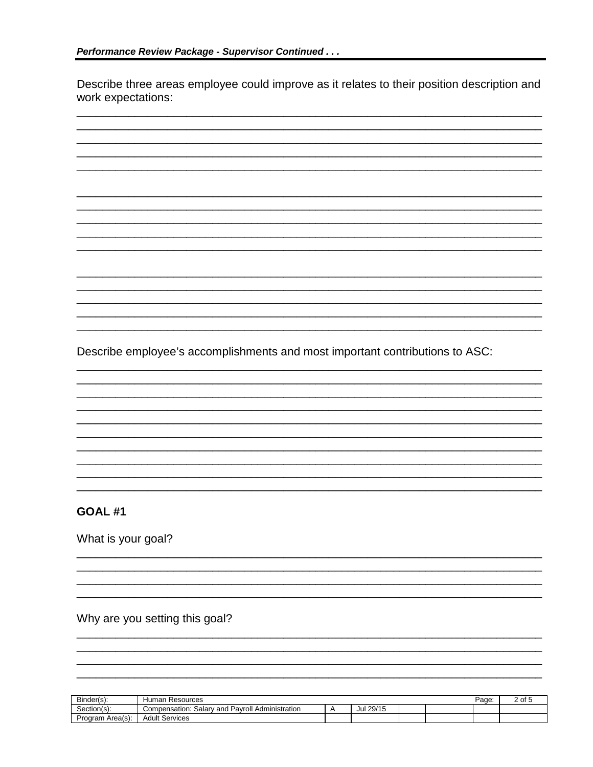Describe three areas employee could improve as it relates to their position description and work expectations:



## **GOAL #1**

What is your goal?

Why are you setting this goal?

| Binder(s):       | Human<br>Resources                                      |               |  | Page | of |
|------------------|---------------------------------------------------------|---------------|--|------|----|
| $Section(s)$ :   | v and Pavroll Administration<br>Salarv<br>Compensation: | 29/15<br>Jul. |  |      |    |
| Program Area(s): | Services<br>Adult                                       |               |  |      |    |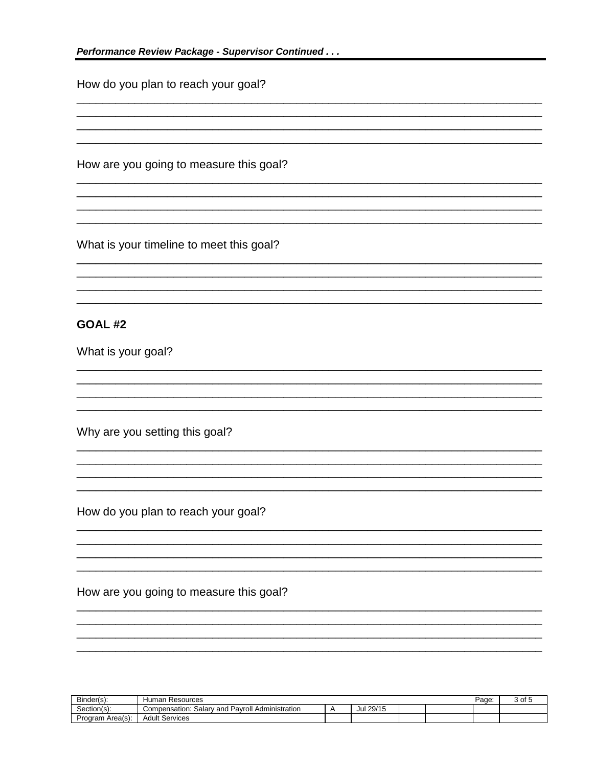How do you plan to reach your goal? How are you going to measure this goal? What is your timeline to meet this goal? GOAL#2 What is your goal? Why are you setting this goal? How do you plan to reach your goal? How are you going to measure this goal?

| Binder(s):       | Human<br>Resources                                            |           |  | Page | $\sim$<br>. ا ا ب |
|------------------|---------------------------------------------------------------|-----------|--|------|-------------------|
| Section(s):      | ' Administration<br>Pavroll<br>Compensation:<br>خalarv<br>and | Jul 29/15 |  |      |                   |
| Program Area(s): | <sup>.</sup> Services<br>Adult                                |           |  |      |                   |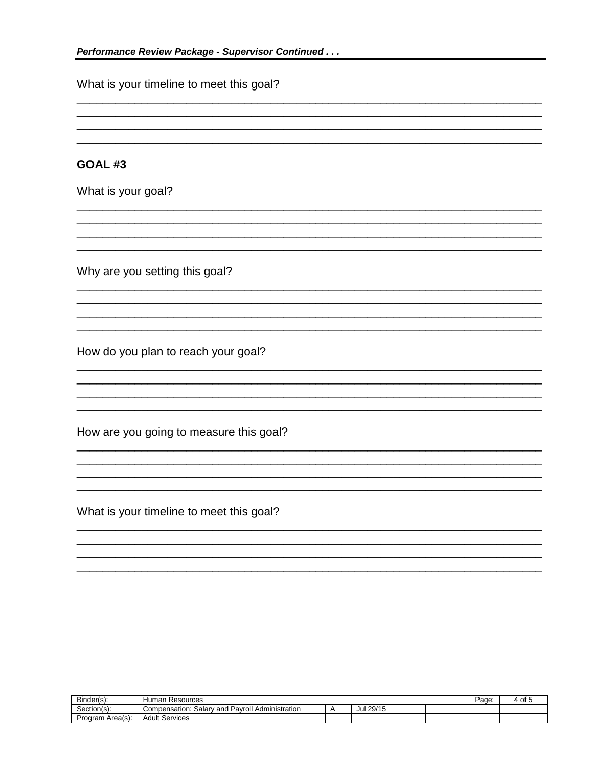What is your timeline to meet this goal?

## GOAL#3

What is your goal?

Why are you setting this goal?

How do you plan to reach your goal?

How are you going to measure this goal?

What is your timeline to meet this goal?

| Binder(s):       | Resources<br><b>Humar</b>                                   |              |  | Page. | ⊹ot |
|------------------|-------------------------------------------------------------|--------------|--|-------|-----|
| Section(s):      | Pavroll<br>Administration<br>salarv<br>and<br>Compensation: | 29/15<br>Jul |  |       |     |
| Program Area(s): | Services<br>Adult                                           |              |  |       |     |